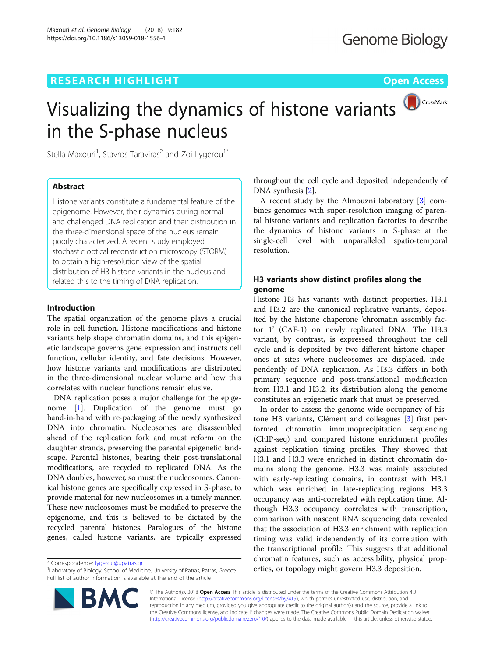# CrossMark Visualizing the dynamics of histone variants in the S-phase nucleus

Stella Maxouri<sup>1</sup>, Stavros Taraviras<sup>2</sup> and Zoi Lygerou<sup>1\*</sup>

# Abstract

Histone variants constitute a fundamental feature of the epigenome. However, their dynamics during normal and challenged DNA replication and their distribution in the three-dimensional space of the nucleus remain poorly characterized. A recent study employed stochastic optical reconstruction microscopy (STORM) to obtain a high-resolution view of the spatial distribution of H3 histone variants in the nucleus and related this to the timing of DNA replication.

### Introduction

The spatial organization of the genome plays a crucial role in cell function. Histone modifications and histone variants help shape chromatin domains, and this epigenetic landscape governs gene expression and instructs cell function, cellular identity, and fate decisions. However, how histone variants and modifications are distributed in the three-dimensional nuclear volume and how this correlates with nuclear functions remain elusive.

DNA replication poses a major challenge for the epigenome [\[1](#page-2-0)]. Duplication of the genome must go hand-in-hand with re-packaging of the newly synthesized DNA into chromatin. Nucleosomes are disassembled ahead of the replication fork and must reform on the daughter strands, preserving the parental epigenetic landscape. Parental histones, bearing their post-translational modifications, are recycled to replicated DNA. As the DNA doubles, however, so must the nucleosomes. Canonical histone genes are specifically expressed in S-phase, to provide material for new nucleosomes in a timely manner. These new nucleosomes must be modified to preserve the epigenome, and this is believed to be dictated by the recycled parental histones. Paralogues of the histone genes, called histone variants, are typically expressed



A recent study by the Almouzni laboratory [[3\]](#page-2-0) combines genomics with super-resolution imaging of parental histone variants and replication factories to describe the dynamics of histone variants in S-phase at the single-cell level with unparalleled spatio-temporal resolution.

# H3 variants show distinct profiles along the genome

Histone H3 has variants with distinct properties. H3.1 and H3.2 are the canonical replicative variants, deposited by the histone chaperone 'chromatin assembly factor 1' (CAF-1) on newly replicated DNA. The H3.3 variant, by contrast, is expressed throughout the cell cycle and is deposited by two different histone chaperones at sites where nucleosomes are displaced, independently of DNA replication. As H3.3 differs in both primary sequence and post-translational modification from H3.1 and H3.2, its distribution along the genome constitutes an epigenetic mark that must be preserved.

In order to assess the genome-wide occupancy of histone H3 variants, Clément and colleagues [\[3](#page-2-0)] first performed chromatin immunoprecipitation sequencing (ChIP-seq) and compared histone enrichment profiles against replication timing profiles. They showed that H3.1 and H3.3 were enriched in distinct chromatin domains along the genome. H3.3 was mainly associated with early-replicating domains, in contrast with H3.1 which was enriched in late-replicating regions. H3.3 occupancy was anti-correlated with replication time. Although H3.3 occupancy correlates with transcription, comparison with nascent RNA sequencing data revealed that the association of H3.3 enrichment with replication timing was valid independently of its correlation with the transcriptional profile. This suggests that additional chromatin features, such as accessibility, physical properties, or topology might govern H3.3 deposition.<br><sup>1</sup> aboratory of Biology. School of Medicine. University of Patras. Patras. Greece **1998.** extragalance **extiles, or topology might govern H3.3 deposition.** 



© The Author(s). 2018 Open Access This article is distributed under the terms of the Creative Commons Attribution 4.0 International License [\(http://creativecommons.org/licenses/by/4.0/](http://creativecommons.org/licenses/by/4.0/)), which permits unrestricted use, distribution, and reproduction in any medium, provided you give appropriate credit to the original author(s) and the source, provide a link to the Creative Commons license, and indicate if changes were made. The Creative Commons Public Domain Dedication waiver [\(http://creativecommons.org/publicdomain/zero/1.0/](http://creativecommons.org/publicdomain/zero/1.0/)) applies to the data made available in this article, unless otherwise stated.

<sup>&</sup>lt;sup>1</sup> Laboratory of Biology, School of Medicine, University of Patras, Patras, Greece Full list of author information is available at the end of the article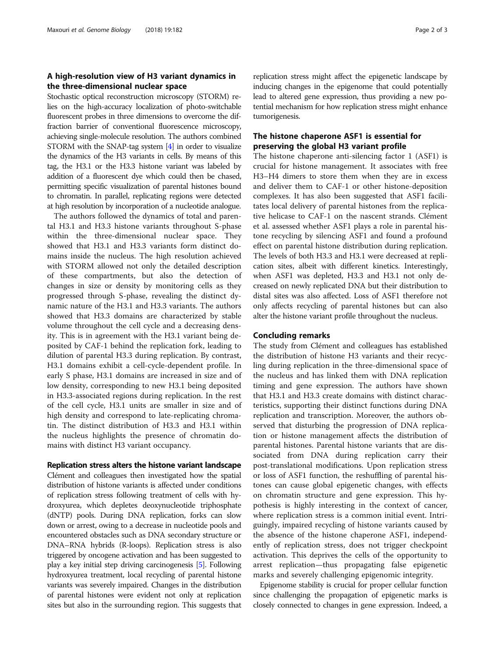## A high-resolution view of H3 variant dynamics in the three-dimensional nuclear space

Stochastic optical reconstruction microscopy (STORM) relies on the high-accuracy localization of photo-switchable fluorescent probes in three dimensions to overcome the diffraction barrier of conventional fluorescence microscopy, achieving single-molecule resolution. The authors combined STORM with the SNAP-tag system [\[4\]](#page-2-0) in order to visualize the dynamics of the H3 variants in cells. By means of this tag, the H3.1 or the H3.3 histone variant was labeled by addition of a fluorescent dye which could then be chased, permitting specific visualization of parental histones bound to chromatin. In parallel, replicating regions were detected at high resolution by incorporation of a nucleotide analogue.

The authors followed the dynamics of total and parental H3.1 and H3.3 histone variants throughout S-phase within the three-dimensional nuclear space. They showed that H3.1 and H3.3 variants form distinct domains inside the nucleus. The high resolution achieved with STORM allowed not only the detailed description of these compartments, but also the detection of changes in size or density by monitoring cells as they progressed through S-phase, revealing the distinct dynamic nature of the H3.1 and H3.3 variants. The authors showed that H3.3 domains are characterized by stable volume throughout the cell cycle and a decreasing density. This is in agreement with the H3.1 variant being deposited by CAF-1 behind the replication fork, leading to dilution of parental H3.3 during replication. By contrast, H3.1 domains exhibit a cell-cycle-dependent profile. In early S phase, H3.1 domains are increased in size and of low density, corresponding to new H3.1 being deposited in H3.3-associated regions during replication. In the rest of the cell cycle, H3.1 units are smaller in size and of high density and correspond to late-replicating chromatin. The distinct distribution of H3.3 and H3.1 within the nucleus highlights the presence of chromatin domains with distinct H3 variant occupancy.

### Replication stress alters the histone variant landscape

Clément and colleagues then investigated how the spatial distribution of histone variants is affected under conditions of replication stress following treatment of cells with hydroxyurea, which depletes deoxynucleotide triphosphate (dNTP) pools. During DNA replication, forks can slow down or arrest, owing to a decrease in nucleotide pools and encountered obstacles such as DNA secondary structure or DNA–RNA hybrids (R-loops). Replication stress is also triggered by oncogene activation and has been suggested to play a key initial step driving carcinogenesis [\[5\]](#page-2-0). Following hydroxyurea treatment, local recycling of parental histone variants was severely impaired. Changes in the distribution of parental histones were evident not only at replication sites but also in the surrounding region. This suggests that

replication stress might affect the epigenetic landscape by inducing changes in the epigenome that could potentially lead to altered gene expression, thus providing a new potential mechanism for how replication stress might enhance tumorigenesis.

# The histone chaperone ASF1 is essential for preserving the global H3 variant profile

The histone chaperone anti-silencing factor 1 (ASF1) is crucial for histone management. It associates with free H3–H4 dimers to store them when they are in excess and deliver them to CAF-1 or other histone-deposition complexes. It has also been suggested that ASF1 facilitates local delivery of parental histones from the replicative helicase to CAF-1 on the nascent strands. Clément et al. assessed whether ASF1 plays a role in parental histone recycling by silencing ASF1 and found a profound effect on parental histone distribution during replication. The levels of both H3.3 and H3.1 were decreased at replication sites, albeit with different kinetics. Interestingly, when ASF1 was depleted, H3.3 and H3.1 not only decreased on newly replicated DNA but their distribution to distal sites was also affected. Loss of ASF1 therefore not only affects recycling of parental histones but can also alter the histone variant profile throughout the nucleus.

### Concluding remarks

The study from Clément and colleagues has established the distribution of histone H3 variants and their recycling during replication in the three-dimensional space of the nucleus and has linked them with DNA replication timing and gene expression. The authors have shown that H3.1 and H3.3 create domains with distinct characteristics, supporting their distinct functions during DNA replication and transcription. Moreover, the authors observed that disturbing the progression of DNA replication or histone management affects the distribution of parental histones. Parental histone variants that are dissociated from DNA during replication carry their post-translational modifications. Upon replication stress or loss of ASF1 function, the reshuffling of parental histones can cause global epigenetic changes, with effects on chromatin structure and gene expression. This hypothesis is highly interesting in the context of cancer, where replication stress is a common initial event. Intriguingly, impaired recycling of histone variants caused by the absence of the histone chaperone ASF1, independently of replication stress, does not trigger checkpoint activation. This deprives the cells of the opportunity to arrest replication—thus propagating false epigenetic marks and severely challenging epigenomic integrity.

Epigenome stability is crucial for proper cellular function since challenging the propagation of epigenetic marks is closely connected to changes in gene expression. Indeed, a